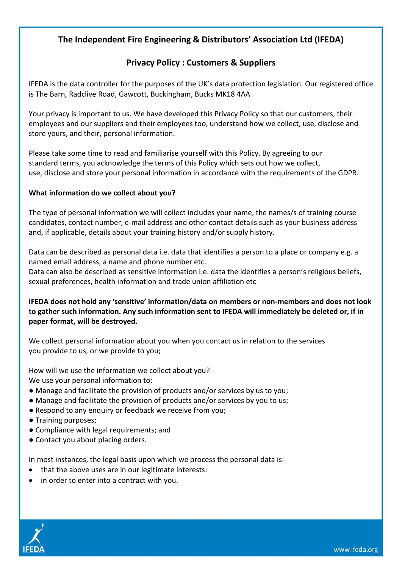# **The Independent Fire Engineering & Distributors' Association Ltd (IFEDA)**

# **Privacy Policy : Customers & Suppliers**

IFEDA is the data controller for the purposes of the UK's data protection legislation. Our registered office is The Barn, Radclive Road, Gawcott, Buckingham, Bucks MK18 4AA

Your privacy is important to us. We have developed this Privacy Policy so that our customers, their employees and our suppliers and their employees too, understand how we collect, use, disclose and store yours, and their, personal information.

Please take some time to read and familiarise yourself with this Policy. By agreeing to our standard terms, you acknowledge the terms of this Policy which sets out how we collect, use, disclose and store your personal information in accordance with the requirements of the GDPR.

### **What information do we collect about you?**

The type of personal information we will collect includes your name, the names/s of training course candidates, contact number, e-mail address and other contact details such as your business address and, if applicable, details about your training history and/or supply history.

Data can be described as personal data i.e. data that identifies a person to a place or company e.g. a named email address, a name and phone number etc.

Data can also be described as sensitive information i.e. data the identifies a person's religious beliefs, sexual preferences, health information and trade union affiliation etc

**IFEDA does not hold any 'sensitive' information/data on members or non-members and does not look to gather such information. Any such information sent to IFEDA will immediately be deleted or, if in paper format, will be destroyed.**

We collect personal information about you when you contact us in relation to the services you provide to us, or we provide to you;

How will we use the information we collect about you? We use your personal information to:

- Manage and facilitate the provision of products and/or services by us to you;
- Manage and facilitate the provision of products and/or services by you to us;
- Respond to any enquiry or feedback we receive from you;
- Training purposes;
- Compliance with legal requirements; and
- Contact you about placing orders.

In most instances, the legal basis upon which we process the personal data is:-

- that the above uses are in our legitimate interests:
- in order to enter into a contract with you.

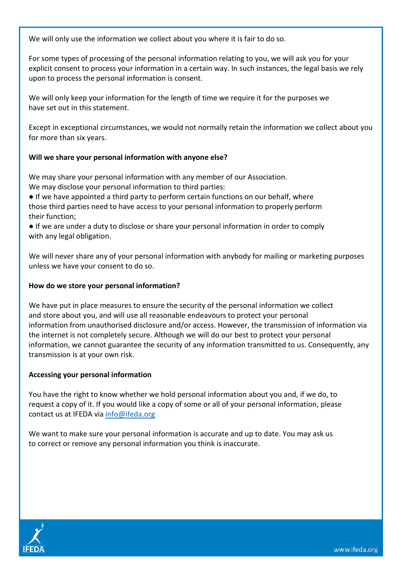We will only use the information we collect about you where it is fair to do so.

For some types of processing of the personal information relating to you, we will ask you for your explicit consent to process your information in a certain way. In such instances, the legal basis we rely upon to process the personal information is consent.

We will only keep your information for the length of time we require it for the purposes we have set out in this statement.

Except in exceptional circumstances, we would not normally retain the information we collect about you for more than six years.

#### **Will we share your personal information with anyone else?**

We may share your personal information with any member of our Association. We may disclose your personal information to third parties:

● If we have appointed a third party to perform certain functions on our behalf, where those third parties need to have access to your personal information to properly perform their function;

● If we are under a duty to disclose or share your personal information in order to comply with any legal obligation.

We will never share any of your personal information with anybody for mailing or marketing purposes unless we have your consent to do so.

### **How do we store your personal information?**

We have put in place measures to ensure the security of the personal information we collect and store about you, and will use all reasonable endeavours to protect your personal information from unauthorised disclosure and/or access. However, the transmission of information via the internet is not completely secure. Although we will do our best to protect your personal information, we cannot guarantee the security of any information transmitted to us. Consequently, any transmission is at your own risk.

#### **Accessing your personal information**

You have the right to know whether we hold personal information about you and, if we do, to request a copy of it. If you would like a copy of some or all of your personal information, please contact us at IFEDA via [info@ifeda.org](mailto:info@ifeda.org)

We want to make sure your personal information is accurate and up to date. You may ask us to correct or remove any personal information you think is inaccurate.